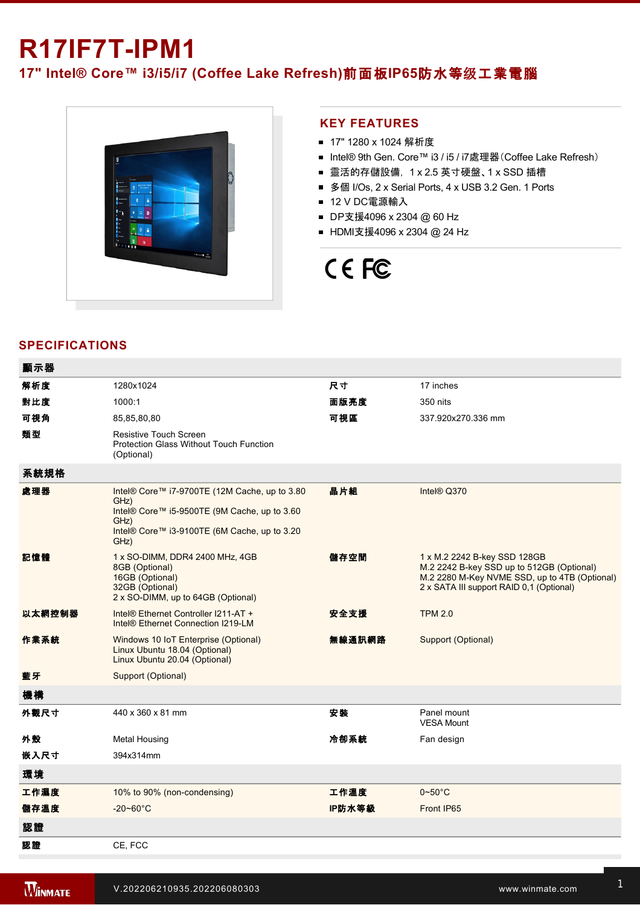## **R17IF7TIPM1**

**17" Intel® Core™ i3/i5/i7 (Coffee Lake Refresh)**前面板**IP65**防水等级工業電腦



## **KEY FEATURES**

- 17" 1280 x 1024 解析度
- Intel® 9th Gen. Core™ i3 / i5 / i7處理器(Coffee Lake Refresh)
- 靈活的存儲設備, 1 x 2.5 英寸硬盤、1 x SSD 插槽
- 多個 I/Os, 2 x Serial Ports, 4 x USB 3.2 Gen. 1 Ports
- 12 V DC電源輸入
- DP支援4096 x 2304 @ 60 Hz
- HDMI支援4096 x 2304 @ 24 Hz

# CE FC

## **SPECIFICATIONS**

| 顯示器    |                                                                                                                                                                       |        |                                                                                                                                                                        |
|--------|-----------------------------------------------------------------------------------------------------------------------------------------------------------------------|--------|------------------------------------------------------------------------------------------------------------------------------------------------------------------------|
| 解析度    | 1280x1024                                                                                                                                                             | 尺寸     | 17 inches                                                                                                                                                              |
| 對比度    | 1000:1                                                                                                                                                                | 面版亮度   | 350 nits                                                                                                                                                               |
| 可視角    | 85,85,80,80                                                                                                                                                           | 可視區    | 337.920x270.336 mm                                                                                                                                                     |
| 類型     | <b>Resistive Touch Screen</b><br><b>Protection Glass Without Touch Function</b><br>(Optional)                                                                         |        |                                                                                                                                                                        |
| 系統規格   |                                                                                                                                                                       |        |                                                                                                                                                                        |
| 處理器    | Intel® Core™ i7-9700TE (12M Cache, up to 3.80<br>GHz)<br>Intel® Core™ i5-9500TE (9M Cache, up to 3.60<br>GHz)<br>Intel® Core™ i3-9100TE (6M Cache, up to 3.20<br>GHz) | 晶片組    | Intel® Q370                                                                                                                                                            |
| 記憶體    | 1 x SO-DIMM, DDR4 2400 MHz, 4GB<br>8GB (Optional)<br>16GB (Optional)<br>32GB (Optional)<br>2 x SO-DIMM, up to 64GB (Optional)                                         | 儲存空間   | 1 x M.2 2242 B-key SSD 128GB<br>M.2 2242 B-key SSD up to 512GB (Optional)<br>M.2 2280 M-Key NVME SSD, up to 4TB (Optional)<br>2 x SATA III support RAID 0,1 (Optional) |
| 以太網控制器 | Intel® Ethernet Controller I211-AT +<br>Intel <sup>®</sup> Ethernet Connection I219-LM                                                                                | 安全支援   | <b>TPM 2.0</b>                                                                                                                                                         |
| 作業系統   | Windows 10 IoT Enterprise (Optional)<br>Linux Ubuntu 18.04 (Optional)<br>Linux Ubuntu 20.04 (Optional)                                                                | 無線通訊網路 | Support (Optional)                                                                                                                                                     |
| 藍牙     | Support (Optional)                                                                                                                                                    |        |                                                                                                                                                                        |
| 機構     |                                                                                                                                                                       |        |                                                                                                                                                                        |
| 外觀尺寸   | 440 x 360 x 81 mm                                                                                                                                                     | 安装     | Panel mount<br><b>VESA Mount</b>                                                                                                                                       |
| 外殼     | <b>Metal Housing</b>                                                                                                                                                  | 冷卻系統   | Fan design                                                                                                                                                             |
| 嵌入尺寸   | 394x314mm                                                                                                                                                             |        |                                                                                                                                                                        |
| 環境     |                                                                                                                                                                       |        |                                                                                                                                                                        |
| 工作濕度   | 10% to 90% (non-condensing)                                                                                                                                           | 工作溫度   | $0\negthinspace\negthinspace\negthinspace 50^{\circ}\mathrm{C}$                                                                                                        |
| 儲存溫度   | $-20 - 60^{\circ}$ C                                                                                                                                                  | IP防水等級 | Front IP65                                                                                                                                                             |
| 認證     |                                                                                                                                                                       |        |                                                                                                                                                                        |
| 認證     | CE, FCC                                                                                                                                                               |        |                                                                                                                                                                        |